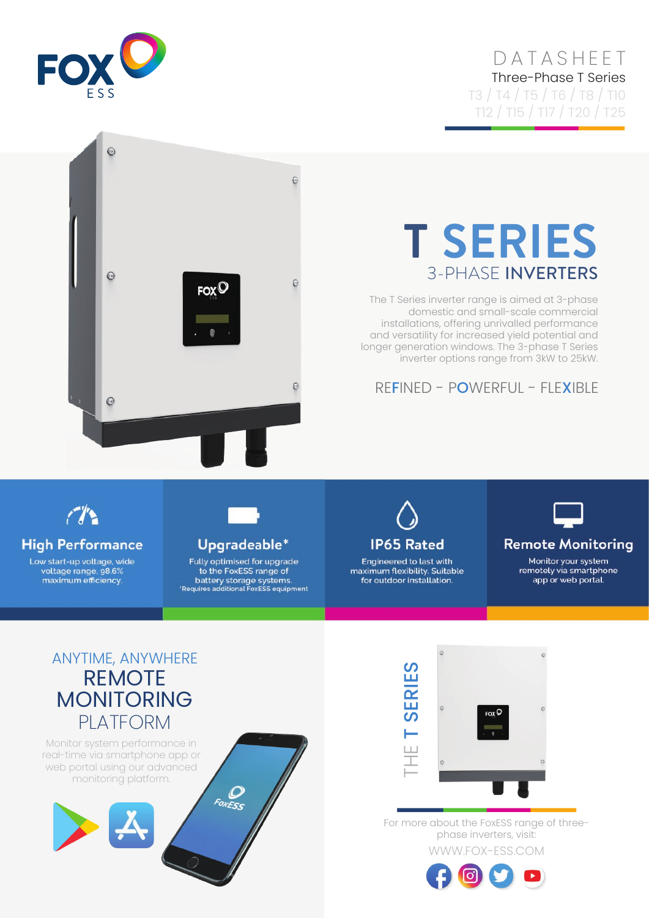## DATASHEET Three-Phase T Series T3 / T4 / T5 / T6 / T8 / T10

T12 / T15 / T17 / T20 / T25



## $\odot$  $\Theta$ **T SERIES** 3-PHASE INVERTERS  $\odot$  $_{\rm FOX}$ C The T Series inverter range is aimed at 3-phase domestic and small-scale commercial installations, offering unrivalled performance and versatility for increased yield potential and longer generation windows. The 3-phase T Series inverter options range from 3kW to 25kW. REFINED - POWERFUL - FLEXIBLE $\odot$

# $\mathcal{L}$

**High Performance** 

Low start-up voltage, wide voltage range, 98.6%<br>maximum efficiency.



Upgradeable\*

Fully optimised for upgrade to the FoxESS range of battery storage systems.<br>Requires additional FoxESS equipment



Engineered to last with maximum flexibility. Suitable for outdoor installation.



#### **Remote Monitoring**

Monitor your system remotely via smartphone app or web portal.

# ANYTIME, ANYWHERE REMOTE MONITORING PLATFORM

Monitor system performance in real-time via smartphone app or web portal using our advanced monitoring platform.





WWW.FOX-ESS.COM For more about the FoxESS range of threephase inverters, visit: